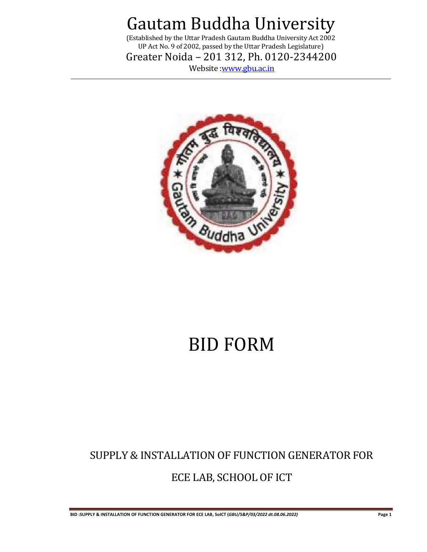(Established by the Uttar Pradesh Gautam Buddha University Act 2002 UP Act No. 9 of 2002, passed by the Uttar Pradesh Legislature)

Greater Noida – 201 312, Ph. 0120-2344200

Website [:www.gbu.ac.in](http://www.gbu.ac.in/)



# BID FORM

## SUPPLY & INSTALLATION OF FUNCTION GENERATOR FOR ECE LAB, SCHOOL OF ICT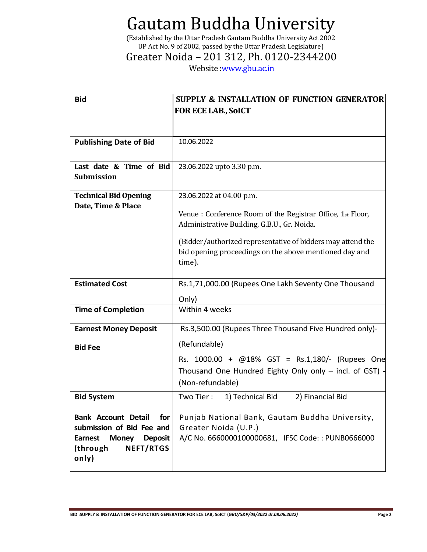(Established by the Uttar Pradesh Gautam Buddha University Act 2002 UP Act No. 9 of 2002, passed by the Uttar Pradesh Legislature)

### Greater Noida – 201 312, Ph. 0120-2344200

Website : www.gbu.ac.in

| <b>Bid</b>                                         | <b>SUPPLY &amp; INSTALLATION OF FUNCTION GENERATOR</b>      |
|----------------------------------------------------|-------------------------------------------------------------|
|                                                    | <b>FOR ECE LAB., SOICT</b>                                  |
|                                                    |                                                             |
| <b>Publishing Date of Bid</b>                      | 10.06.2022                                                  |
|                                                    |                                                             |
| Last date & Time of Bid                            | 23.06.2022 upto 3.30 p.m.                                   |
| <b>Submission</b>                                  |                                                             |
| <b>Technical Bid Opening</b><br>Date, Time & Place | 23.06.2022 at 04.00 p.m.                                    |
|                                                    | Venue : Conference Room of the Registrar Office, 1st Floor, |
|                                                    | Administrative Building, G.B.U., Gr. Noida.                 |
|                                                    | (Bidder/authorized representative of bidders may attend the |
|                                                    | bid opening proceedings on the above mentioned day and      |
|                                                    | time).                                                      |
| <b>Estimated Cost</b>                              | Rs.1,71,000.00 (Rupees One Lakh Seventy One Thousand        |
|                                                    | Only)                                                       |
| <b>Time of Completion</b>                          | Within 4 weeks                                              |
| <b>Earnest Money Deposit</b>                       | Rs.3,500.00 (Rupees Three Thousand Five Hundred only)-      |
| <b>Bid Fee</b>                                     | (Refundable)                                                |
|                                                    | Rs. 1000.00 + @18% GST = Rs.1,180/- (Rupees One             |
|                                                    | Thousand One Hundred Eighty Only only - incl. of GST) -     |
|                                                    | (Non-refundable)                                            |
| <b>Bid System</b>                                  | Two Tier:<br>1) Technical Bid<br>2) Financial Bid           |
| <b>Bank Account Detail</b><br>for                  | Punjab National Bank, Gautam Buddha University,             |
| submission of Bid Fee and                          | Greater Noida (U.P.)                                        |
| <b>Money</b><br><b>Deposit</b><br><b>Earnest</b>   | A/C No. 6660000100000681, IFSC Code:: PUNB0666000           |
| <b>NEFT/RTGS</b><br>(through                       |                                                             |
| only)                                              |                                                             |

**BID :SUPPLY & INSTALLATION OF FUNCTION GENERATOR FOR ECE LAB, SoICT (***GBU/S&P/03/2022 dt.08.06.2022)* **Page 2**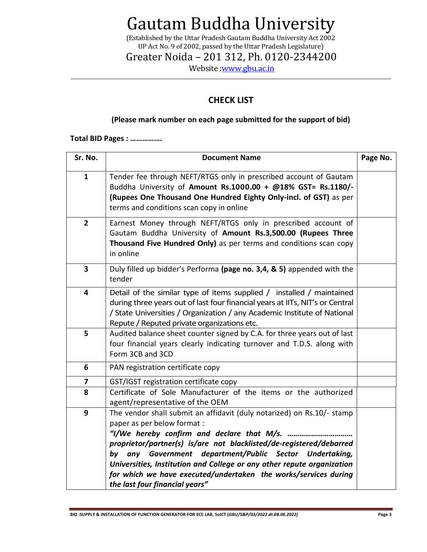(Established by the Uttar Pradesh Gautam Buddha University Act 2002 UP Act No. 9 of 2002, passed by the Uttar Pradesh Legislature)

Greater Noida – 201 312, Ph. 0120-2344200

Website : www.gbu.ac.in

### **CHECK LIST**

#### **(Please mark number on each page submitted for the support of bid)**

**Total BID Pages : …………….**

| Sr. No.                 | <b>Document Name</b>                                                                                                                                                                                                                                                                                                                                                                                                      | Page No. |
|-------------------------|---------------------------------------------------------------------------------------------------------------------------------------------------------------------------------------------------------------------------------------------------------------------------------------------------------------------------------------------------------------------------------------------------------------------------|----------|
| $\mathbf{1}$            | Tender fee through NEFT/RTGS only in prescribed account of Gautam<br>Buddha University of Amount Rs.1000.00 + @18% GST= Rs.1180/-<br>(Rupees One Thousand One Hundred Eighty Only-incl. of GST) as per<br>terms and conditions scan copy in online                                                                                                                                                                        |          |
| $\overline{2}$          | Earnest Money through NEFT/RTGS only in prescribed account of<br>Gautam Buddha University of Amount Rs.3,500.00 (Rupees Three<br>Thousand Five Hundred Only) as per terms and conditions scan copy<br>in online                                                                                                                                                                                                           |          |
| $\overline{\mathbf{3}}$ | Duly filled up bidder's Performa (page no. 3,4, & 5) appended with the<br>tender                                                                                                                                                                                                                                                                                                                                          |          |
| 4                       | Detail of the similar type of items supplied / installed / maintained<br>during three years out of last four financial years at IITs, NIT's or Central<br>/ State Universities / Organization / any Academic Institute of National<br>Repute / Reputed private organizations etc.                                                                                                                                         |          |
| 5                       | Audited balance sheet counter signed by C.A. for three years out of last<br>four financial years clearly indicating turnover and T.D.S. along with<br>Form 3CB and 3CD                                                                                                                                                                                                                                                    |          |
| 6                       | PAN registration certificate copy                                                                                                                                                                                                                                                                                                                                                                                         |          |
| $\overline{\mathbf{z}}$ | GST/IGST registration certificate copy                                                                                                                                                                                                                                                                                                                                                                                    |          |
| 8                       | Certificate of Sole Manufacturer of the items or the authorized<br>agent/representative of the OEM                                                                                                                                                                                                                                                                                                                        |          |
| 9                       | The vendor shall submit an affidavit (duly notarized) on Rs.10/- stamp<br>paper as per below format :<br>proprietor/partner(s) is/are not blacklisted/de-registered/debarred<br>any Government department/Public Sector Undertaking,<br>by<br>Universities, Institution and College or any other repute organization<br>for which we have executed/undertaken the works/services during<br>the last four financial years" |          |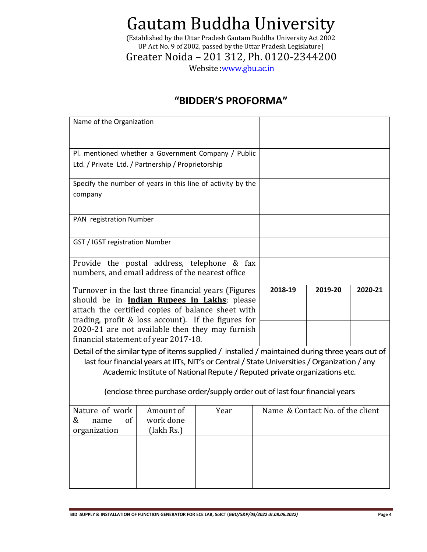(Established by the Uttar Pradesh Gautam Buddha University Act 2002 UP Act No. 9 of 2002, passed by the Uttar Pradesh Legislature)

Greater Noida – 201 312, Ph. 0120-2344200

Website : www.gbu.ac.in

### **"BIDDER'S PROFORMA"**

| Name of the Organization                                                                                                                                                                                                                                                       |                                                                                                 |  |         |         |         |  |  |
|--------------------------------------------------------------------------------------------------------------------------------------------------------------------------------------------------------------------------------------------------------------------------------|-------------------------------------------------------------------------------------------------|--|---------|---------|---------|--|--|
| Pl. mentioned whether a Government Company / Public                                                                                                                                                                                                                            |                                                                                                 |  |         |         |         |  |  |
| Ltd. / Private Ltd. / Partnership / Proprietorship                                                                                                                                                                                                                             |                                                                                                 |  |         |         |         |  |  |
| Specify the number of years in this line of activity by the                                                                                                                                                                                                                    |                                                                                                 |  |         |         |         |  |  |
| company                                                                                                                                                                                                                                                                        |                                                                                                 |  |         |         |         |  |  |
| PAN registration Number                                                                                                                                                                                                                                                        |                                                                                                 |  |         |         |         |  |  |
| GST / IGST registration Number                                                                                                                                                                                                                                                 |                                                                                                 |  |         |         |         |  |  |
|                                                                                                                                                                                                                                                                                | Provide the postal address, telephone & fax<br>numbers, and email address of the nearest office |  |         |         |         |  |  |
| Turnover in the last three financial years (Figures<br>should be in <b>Indian Rupees in Lakhs</b> ; please<br>attach the certified copies of balance sheet with<br>trading, profit & loss account). If the figures for                                                         |                                                                                                 |  | 2018-19 | 2019-20 | 2020-21 |  |  |
| 2020-21 are not available then they may furnish<br>financial statement of year 2017-18.                                                                                                                                                                                        |                                                                                                 |  |         |         |         |  |  |
| Detail of the similar type of items supplied / installed / maintained during three years out of<br>last four financial years at IITs, NIT's or Central / State Universities / Organization / any<br>Academic Institute of National Repute / Reputed private organizations etc. |                                                                                                 |  |         |         |         |  |  |
| (enclose three purchase order/supply order out of last four financial years                                                                                                                                                                                                    |                                                                                                 |  |         |         |         |  |  |
| Nature of work<br>Name & Contact No. of the client<br>Amount of<br>Year<br>&<br>work done<br><sub>of</sub><br>name<br>(lakh Rs.)<br>organization                                                                                                                               |                                                                                                 |  |         |         |         |  |  |
|                                                                                                                                                                                                                                                                                |                                                                                                 |  |         |         |         |  |  |
|                                                                                                                                                                                                                                                                                |                                                                                                 |  |         |         |         |  |  |

**BID :SUPPLY & INSTALLATION OF FUNCTION GENERATOR FOR ECE LAB, SoICT (***GBU/S&P/03/2022 dt.08.06.2022)* **Page 4**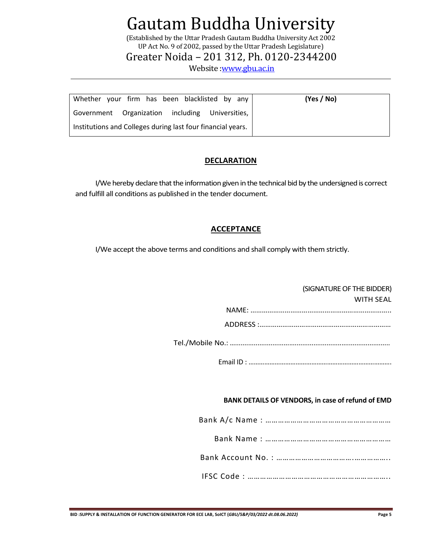(Established by the Uttar Pradesh Gautam Buddha University Act 2002 UP Act No. 9 of 2002, passed by the Uttar Pradesh Legislature)

Greater Noida – 201 312, Ph. 0120-2344200

Website [:www.gbu.ac.in](http://www.gbu.ac.in/)

| Whether your firm has been blacklisted by any               | (Yes / No) |
|-------------------------------------------------------------|------------|
| Government Organization including Universities,             |            |
| Institutions and Colleges during last four financial years. |            |

#### **DECLARATION**

I/We hereby declare that the information given in the technical bid by the undersigned is correct and fulfill all conditions as published in the tender document.

#### **ACCEPTANCE**

I/We accept the above terms and conditions and shall comply with them strictly.

#### (SIGNATURE OF THE BIDDER)

| <b>WITH SFAL</b> |
|------------------|
|                  |
|                  |

Tel./Mobile No.: …...................................................................................

Email ID : ……………………………………………………………………….

#### **BANK DETAILS OF VENDORS, in case of refund of EMD**

Bank A/c Name : ……………………………………………………

|--|--|--|

IFSC Code : …………………………………………………………..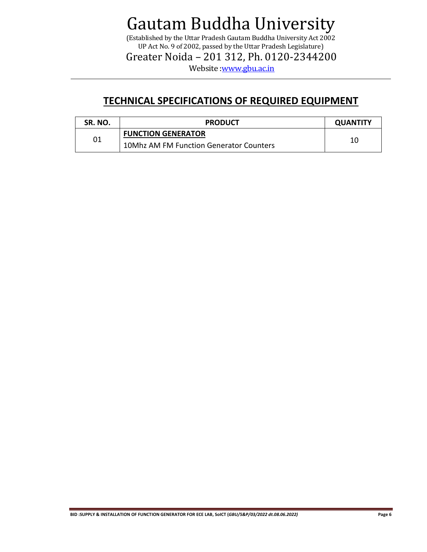(Established by the Uttar Pradesh Gautam Buddha University Act 2002 UP Act No. 9 of 2002, passed by the Uttar Pradesh Legislature)

Greater Noida – 201 312, Ph. 0120-2344200

Website : www.gbu.ac.in

### **TECHNICAL SPECIFICATIONS OF REQUIRED EQUIPMENT**

| SR. NO. | <b>PRODUCT</b>                                 |    |  |  |
|---------|------------------------------------------------|----|--|--|
| 01      | <b>FUNCTION GENERATOR</b>                      |    |  |  |
|         | <b>10Mhz AM FM Function Generator Counters</b> | 10 |  |  |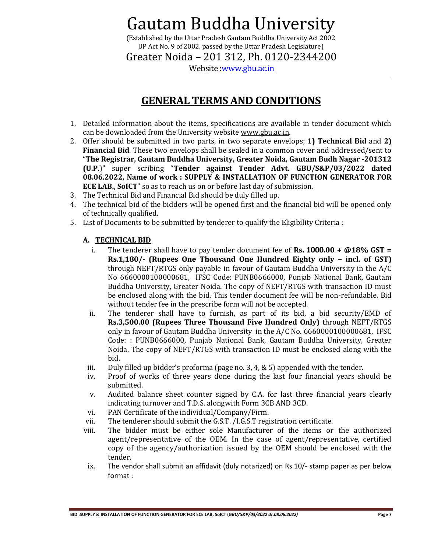(Established by the Uttar Pradesh Gautam Buddha University Act 2002 UP Act No. 9 of 2002, passed by the Uttar Pradesh Legislature)

Greater Noida – 201 312, Ph. 0120-2344200

Website [:www.gbu.ac.in](http://www.gbu.ac.in/)

### **GENERAL TERMS AND CONDITIONS**

- 1. Detailed information about the items, specifications are available in tender document which can be downloaded from the University websit[e www.gbu.ac.in.](http://www.gbu.ac.in/)
- 2. Offer should be submitted in two parts, in two separate envelops; 1**) Technical Bid** and **2) Financial Bid**. These two envelops shall be sealed in a common cover and addressed/sent to "**The Registrar, Gautam Buddha University, Greater Noida, Gautam Budh Nagar -201312 (U.P.**)" super scribing "**Tender against Tender Advt. GBU/S&P/03/2022 dated 08.06.2022, Name of work : SUPPLY & INSTALLATION OF FUNCTION GENERATOR FOR ECE LAB., SoICT**" so as to reach us on or before last day of submission.
- 3. The Technical Bid and Financial Bid should be duly filled up.
- 4. The technical bid of the bidders will be opened first and the financial bid will be opened only of technically qualified.
- 5. List of Documents to be submitted by tenderer to qualify the Eligibility Criteria :

#### **A. TECHNICAL BID**

- i. The tenderer shall have to pay tender document fee of **Rs. 1000.00 + @18% GST = Rs.1,180/- (Rupees One Thousand One Hundred Eighty only – incl. of GST)** through NEFT/RTGS only payable in favour of Gautam Buddha University in the A/C No 6660000100000681, IFSC Code: PUNB0666000, Punjab National Bank, Gautam Buddha University, Greater Noida. The copy of NEFT/RTGS with transaction ID must be enclosed along with the bid. This tender document fee will be non-refundable. Bid without tender fee in the prescribe form will not be accepted.
- ii. The tenderer shall have to furnish, as part of its bid, a bid security/EMD of **Rs.3,500.00 (Rupees Three Thousand Five Hundred Only)** through NEFT/RTGS only in favour of Gautam Buddha University in the A/C No. 6660000100000681, IFSC Code: : PUNB0666000, Punjab National Bank, Gautam Buddha University, Greater Noida. The copy of NEFT/RTGS with transaction ID must be enclosed along with the bid.
- iii. Duly filled up bidder's proforma (page no. 3, 4,  $\&$  5) appended with the tender.
- iv. Proof of works of three years done during the last four financial years should be submitted.
- v. Audited balance sheet counter signed by C.A. for last three financial years clearly indicating turnover and T.D.S. alongwith Form 3CB AND 3CD.
- vi. PAN Certificate of the individual/Company/Firm.
- vii. The tenderer should submit the G.S.T. /I.G.S.T registration certificate.
- viii. The bidder must be either sole Manufacturer of the items or the authorized agent/representative of the OEM. In the case of agent/representative, certified copy of the agency/authorization issued by the OEM should be enclosed with the tender.
- ix. The vendor shall submit an affidavit (duly notarized) on Rs.10/- stamp paper as per below format :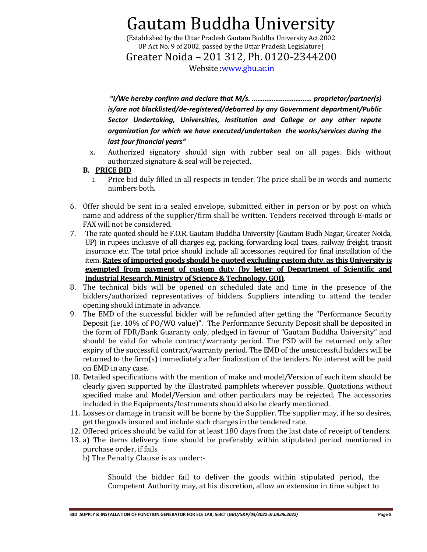(Established by the Uttar Pradesh Gautam Buddha University Act 2002 UP Act No. 9 of 2002, passed by the Uttar Pradesh Legislature)

Greater Noida – 201 312, Ph. 0120-2344200

Website [:www.gbu.ac.in](http://www.gbu.ac.in/)

*"I/We hereby confirm and declare that M/s. …………………………… proprietor/partner(s) is/are not blacklisted/de-registered/debarred by any Government department/Public Sector Undertaking, Universities, Institution and College or any other repute organization for which we have executed/undertaken the works/services during the last four financial years"*

x. Authorized signatory should sign with rubber seal on all pages. Bids without authorized signature & seal will be rejected.

#### **B. PRICE BID**

- i. Price bid duly filled in all respects in tender. The price shall be in words and numeric numbers both.
- 6. Offer should be sent in a sealed envelope, submitted either in person or by post on which name and address of the supplier/firm shall be written. Tenders received through E-mails or FAX will not be considered.
- 7. The rate quoted should be F.O.R. Gautam Buddha University (Gautam Budh Nagar, Greater Noida, UP) in rupees inclusive of all charges e.g. packing, forwarding local taxes, railway freight, transit insurance etc. The total price should include all accessories required for final installation of the item. **Rates of imported goods should be quoted excluding custom duty, as this University is exempted from payment of custom duty (by letter of Department of Scientific and Industrial Research, Ministry of Science & Technology, GOI)**.
- 8. The technical bids will be opened on scheduled date and time in the presence of the bidders/authorized representatives of bidders. Suppliers intending to attend the tender opening should intimate in advance.
- 9. The EMD of the successful bidder will be refunded after getting the "Performance Security Deposit (i.e. 10% of PO/WO value)". The Performance Security Deposit shall be deposited in the form of FDR/Bank Guaranty only, pledged in favour of "Gautam Buddha University" and should be valid for whole contract/warranty period. The PSD will be returned only after expiry of the successful contract/warranty period. The EMD of the unsuccessful bidders will be returned to the firm(s) immediately after finalization of the tenders. No interest will be paid on EMD in any case.
- 10. Detailed specifications with the mention of make and model/Version of each item should be clearly given supported by the illustrated pamphlets wherever possible. Quotations without specified make and Model/Version and other particulars may be rejected. The accessories included in the Equipments/Instruments should also be clearly mentioned.
- 11. Losses or damage in transit will be borne by the Supplier. The supplier may, if he so desires, get the goods insured and include such charges in the tendered rate.
- 12. Offered prices should be valid for at least 180 days from the last date of receipt of tenders.
- 13. a) The items delivery time should be preferably within stipulated period mentioned in purchase order, if fails
	- b) The Penalty Clause is as under:-

Should the bidder fail to deliver the goods within stipulated period**,** the Competent Authority may, at his discretion, allow an extension in time subject to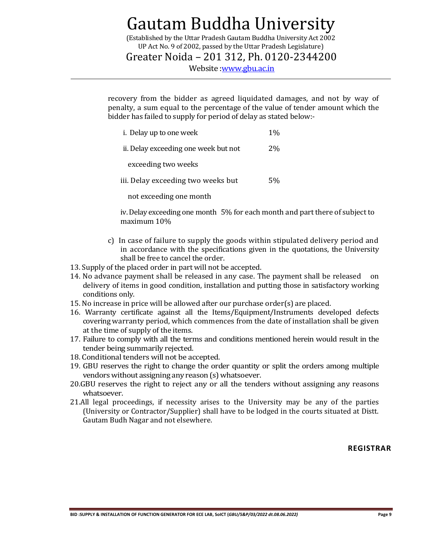(Established by the Uttar Pradesh Gautam Buddha University Act 2002 UP Act No. 9 of 2002, passed by the Uttar Pradesh Legislature)

Greater Noida – 201 312, Ph. 0120-2344200

Website [:www.gbu.ac.in](http://www.gbu.ac.in/)

recovery from the bidder as agreed liquidated damages, and not by way of penalty, a sum equal to the percentage of the value of tender amount which the bidder has failed to supply for period of delay as stated below:-

| i. Delay up to one week              | $1\%$ |
|--------------------------------------|-------|
| ii. Delay exceeding one week but not | $2\%$ |
| exceeding two weeks                  |       |
| iii. Delay exceeding two weeks but   | 5%    |
|                                      |       |

not exceeding one month

iv. Delay exceeding one month 5% for each month and part there of subject to maximum 10%

- c) In case of failure to supply the goods within stipulated delivery period and in accordance with the specifications given in the quotations, the University shall be free to cancel the order.
- 13. Supply of the placed order in part will not be accepted.
- 14. No advance payment shall be released in any case. The payment shall be released on delivery of items in good condition, installation and putting those in satisfactory working conditions only.
- 15. No increase in price will be allowed after our purchase order(s) are placed.
- 16. Warranty certificate against all the Items/Equipment/Instruments developed defects covering warranty period, which commences from the date of installation shall be given at the time of supply of the items.
- 17. Failure to comply with all the terms and conditions mentioned herein would result in the tender being summarily rejected.
- 18. Conditional tenders will not be accepted.
- 19. GBU reserves the right to change the order quantity or split the orders among multiple vendors without assigning any reason (s) whatsoever.
- 20.GBU reserves the right to reject any or all the tenders without assigning any reasons whatsoever.
- 21.All legal proceedings, if necessity arises to the University may be any of the parties (University or Contractor/Supplier) shall have to be lodged in the courts situated at Distt. Gautam Budh Nagar and not elsewhere.

#### **REGISTRAR**